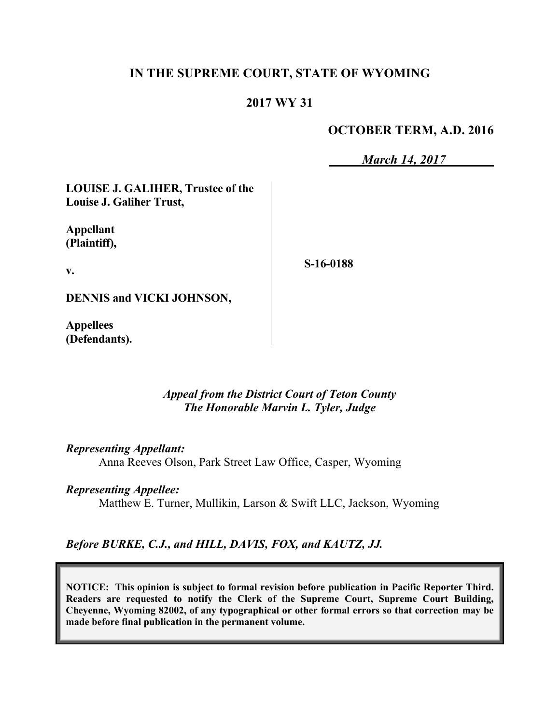# **IN THE SUPREME COURT, STATE OF WYOMING**

# **2017 WY 31**

## **OCTOBER TERM, A.D. 2016**

*March 14, 2017*

**LOUISE J. GALIHER, Trustee of the Louise J. Galiher Trust,**

**Appellant (Plaintiff),**

**v.**

**S-16-0188**

**DENNIS and VICKI JOHNSON,**

**Appellees (Defendants).**

> *Appeal from the District Court of Teton County The Honorable Marvin L. Tyler, Judge*

*Representing Appellant:*

Anna Reeves Olson, Park Street Law Office, Casper, Wyoming

### *Representing Appellee:*

Matthew E. Turner, Mullikin, Larson & Swift LLC, Jackson, Wyoming

*Before BURKE, C.J., and HILL, DAVIS, FOX, and KAUTZ, JJ.*

**NOTICE: This opinion is subject to formal revision before publication in Pacific Reporter Third. Readers are requested to notify the Clerk of the Supreme Court, Supreme Court Building, Cheyenne, Wyoming 82002, of any typographical or other formal errors so that correction may be made before final publication in the permanent volume.**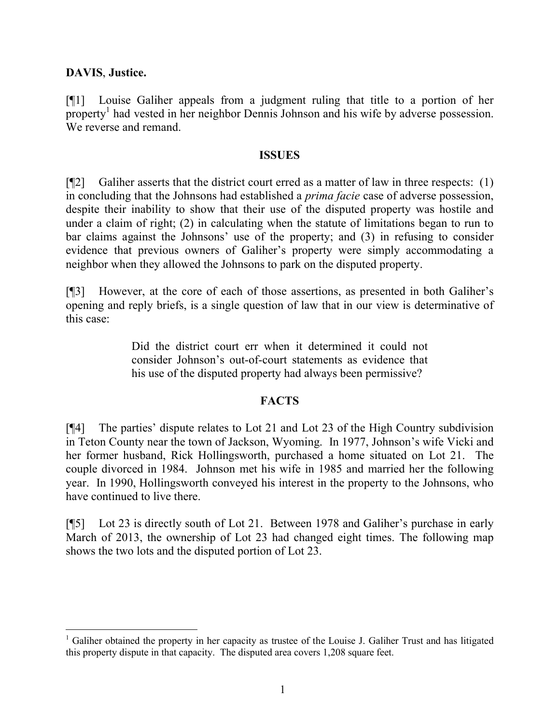## **DAVIS**, **Justice.**

[¶1] Louise Galiher appeals from a judgment ruling that title to a portion of her property<sup>1</sup> had vested in her neighbor Dennis Johnson and his wife by adverse possession. We reverse and remand

#### **ISSUES**

 $[$ [2] Galiher asserts that the district court erred as a matter of law in three respects: (1) in concluding that the Johnsons had established a *prima facie* case of adverse possession, despite their inability to show that their use of the disputed property was hostile and under a claim of right; (2) in calculating when the statute of limitations began to run to bar claims against the Johnsons' use of the property; and (3) in refusing to consider evidence that previous owners of Galiher's property were simply accommodating a neighbor when they allowed the Johnsons to park on the disputed property.

[¶3] However, at the core of each of those assertions, as presented in both Galiher's opening and reply briefs, is a single question of law that in our view is determinative of this case:

> Did the district court err when it determined it could not consider Johnson's out-of-court statements as evidence that his use of the disputed property had always been permissive?

### **FACTS**

[¶4] The parties' dispute relates to Lot 21 and Lot 23 of the High Country subdivision in Teton County near the town of Jackson, Wyoming. In 1977, Johnson's wife Vicki and her former husband, Rick Hollingsworth, purchased a home situated on Lot 21. The couple divorced in 1984. Johnson met his wife in 1985 and married her the following year. In 1990, Hollingsworth conveyed his interest in the property to the Johnsons, who have continued to live there.

[¶5] Lot 23 is directly south of Lot 21. Between 1978 and Galiher's purchase in early March of 2013, the ownership of Lot 23 had changed eight times. The following map shows the two lots and the disputed portion of Lot 23.

 $1$  Galiher obtained the property in her capacity as trustee of the Louise J. Galiher Trust and has litigated this property dispute in that capacity. The disputed area covers 1,208 square feet.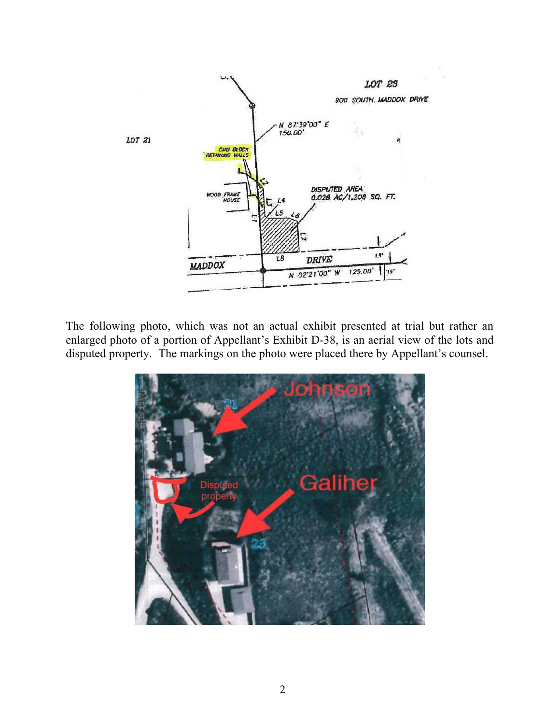

The following photo, which was not an actual exhibit presented at trial but rather an enlarged photo of a portion of Appellant's Exhibit D-38, is an aerial view of the lots and disputed property. The markings on the photo were placed there by Appellant's counsel.

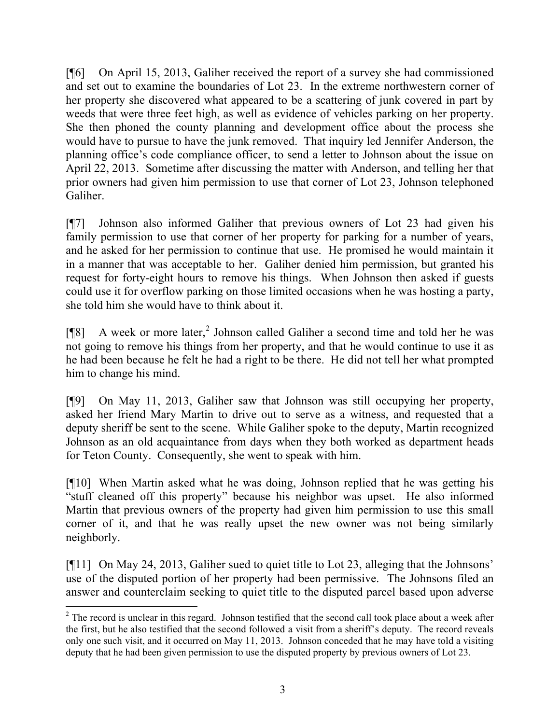[¶6] On April 15, 2013, Galiher received the report of a survey she had commissioned and set out to examine the boundaries of Lot 23. In the extreme northwestern corner of her property she discovered what appeared to be a scattering of junk covered in part by weeds that were three feet high, as well as evidence of vehicles parking on her property. She then phoned the county planning and development office about the process she would have to pursue to have the junk removed. That inquiry led Jennifer Anderson, the planning office's code compliance officer, to send a letter to Johnson about the issue on April 22, 2013. Sometime after discussing the matter with Anderson, and telling her that prior owners had given him permission to use that corner of Lot 23, Johnson telephoned Galiher.

[¶7] Johnson also informed Galiher that previous owners of Lot 23 had given his family permission to use that corner of her property for parking for a number of years, and he asked for her permission to continue that use. He promised he would maintain it in a manner that was acceptable to her. Galiher denied him permission, but granted his request for forty-eight hours to remove his things. When Johnson then asked if guests could use it for overflow parking on those limited occasions when he was hosting a party, she told him she would have to think about it.

[¶8] A week or more later, 2 Johnson called Galiher a second time and told her he was not going to remove his things from her property, and that he would continue to use it as he had been because he felt he had a right to be there. He did not tell her what prompted him to change his mind.

[¶9] On May 11, 2013, Galiher saw that Johnson was still occupying her property, asked her friend Mary Martin to drive out to serve as a witness, and requested that a deputy sheriff be sent to the scene. While Galiher spoke to the deputy, Martin recognized Johnson as an old acquaintance from days when they both worked as department heads for Teton County. Consequently, she went to speak with him.

[¶10] When Martin asked what he was doing, Johnson replied that he was getting his "stuff cleaned off this property" because his neighbor was upset. He also informed Martin that previous owners of the property had given him permission to use this small corner of it, and that he was really upset the new owner was not being similarly neighborly.

[¶11] On May 24, 2013, Galiher sued to quiet title to Lot 23, alleging that the Johnsons' use of the disputed portion of her property had been permissive. The Johnsons filed an answer and counterclaim seeking to quiet title to the disputed parcel based upon adverse

l

<sup>&</sup>lt;sup>2</sup> The record is unclear in this regard. Johnson testified that the second call took place about a week after the first, but he also testified that the second followed a visit from a sheriff's deputy. The record reveals only one such visit, and it occurred on May 11, 2013. Johnson conceded that he may have told a visiting deputy that he had been given permission to use the disputed property by previous owners of Lot 23.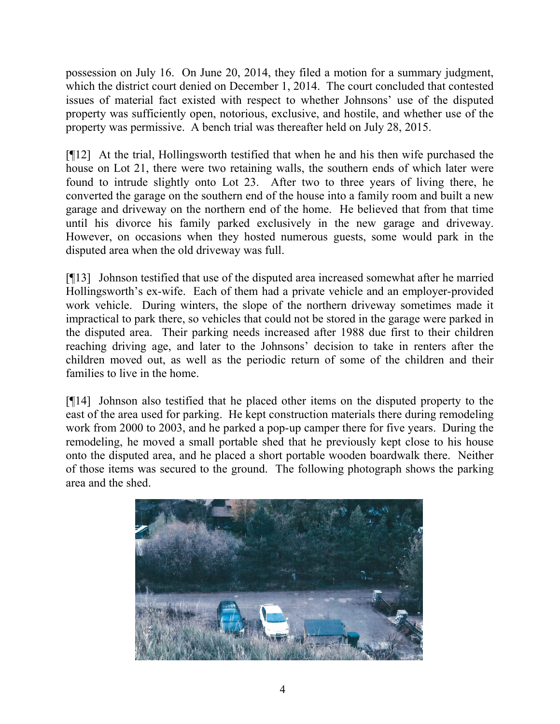possession on July 16. On June 20, 2014, they filed a motion for a summary judgment, which the district court denied on December 1, 2014. The court concluded that contested issues of material fact existed with respect to whether Johnsons' use of the disputed property was sufficiently open, notorious, exclusive, and hostile, and whether use of the property was permissive. A bench trial was thereafter held on July 28, 2015.

[¶12] At the trial, Hollingsworth testified that when he and his then wife purchased the house on Lot 21, there were two retaining walls, the southern ends of which later were found to intrude slightly onto Lot 23. After two to three years of living there, he converted the garage on the southern end of the house into a family room and built a new garage and driveway on the northern end of the home. He believed that from that time until his divorce his family parked exclusively in the new garage and driveway. However, on occasions when they hosted numerous guests, some would park in the disputed area when the old driveway was full.

[¶13] Johnson testified that use of the disputed area increased somewhat after he married Hollingsworth's ex-wife. Each of them had a private vehicle and an employer-provided work vehicle. During winters, the slope of the northern driveway sometimes made it impractical to park there, so vehicles that could not be stored in the garage were parked in the disputed area. Their parking needs increased after 1988 due first to their children reaching driving age, and later to the Johnsons' decision to take in renters after the children moved out, as well as the periodic return of some of the children and their families to live in the home.

[¶14] Johnson also testified that he placed other items on the disputed property to the east of the area used for parking. He kept construction materials there during remodeling work from 2000 to 2003, and he parked a pop-up camper there for five years. During the remodeling, he moved a small portable shed that he previously kept close to his house onto the disputed area, and he placed a short portable wooden boardwalk there. Neither of those items was secured to the ground. The following photograph shows the parking area and the shed.

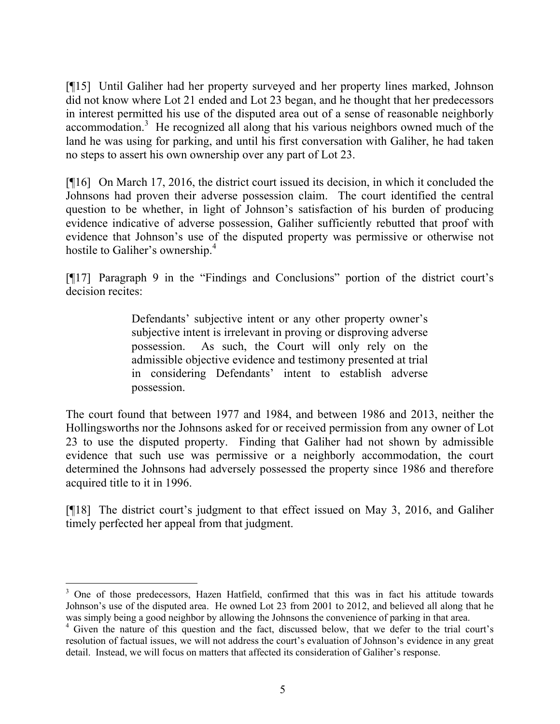[¶15] Until Galiher had her property surveyed and her property lines marked, Johnson did not know where Lot 21 ended and Lot 23 began, and he thought that her predecessors in interest permitted his use of the disputed area out of a sense of reasonable neighborly accommodation.<sup>3</sup> He recognized all along that his various neighbors owned much of the land he was using for parking, and until his first conversation with Galiher, he had taken no steps to assert his own ownership over any part of Lot 23.

[¶16] On March 17, 2016, the district court issued its decision, in which it concluded the Johnsons had proven their adverse possession claim. The court identified the central question to be whether, in light of Johnson's satisfaction of his burden of producing evidence indicative of adverse possession, Galiher sufficiently rebutted that proof with evidence that Johnson's use of the disputed property was permissive or otherwise not hostile to Galiher's ownership.<sup>4</sup>

[¶17] Paragraph 9 in the "Findings and Conclusions" portion of the district court's decision recites:

> Defendants' subjective intent or any other property owner's subjective intent is irrelevant in proving or disproving adverse possession. As such, the Court will only rely on the admissible objective evidence and testimony presented at trial in considering Defendants' intent to establish adverse possession.

The court found that between 1977 and 1984, and between 1986 and 2013, neither the Hollingsworths nor the Johnsons asked for or received permission from any owner of Lot 23 to use the disputed property. Finding that Galiher had not shown by admissible evidence that such use was permissive or a neighborly accommodation, the court determined the Johnsons had adversely possessed the property since 1986 and therefore acquired title to it in 1996.

[¶18] The district court's judgment to that effect issued on May 3, 2016, and Galiher timely perfected her appeal from that judgment.

<sup>&</sup>lt;sup>3</sup> One of those predecessors, Hazen Hatfield, confirmed that this was in fact his attitude towards Johnson's use of the disputed area. He owned Lot 23 from 2001 to 2012, and believed all along that he was simply being a good neighbor by allowing the Johnsons the convenience of parking in that area.

<sup>4</sup> Given the nature of this question and the fact, discussed below, that we defer to the trial court's resolution of factual issues, we will not address the court's evaluation of Johnson's evidence in any great detail. Instead, we will focus on matters that affected its consideration of Galiher's response.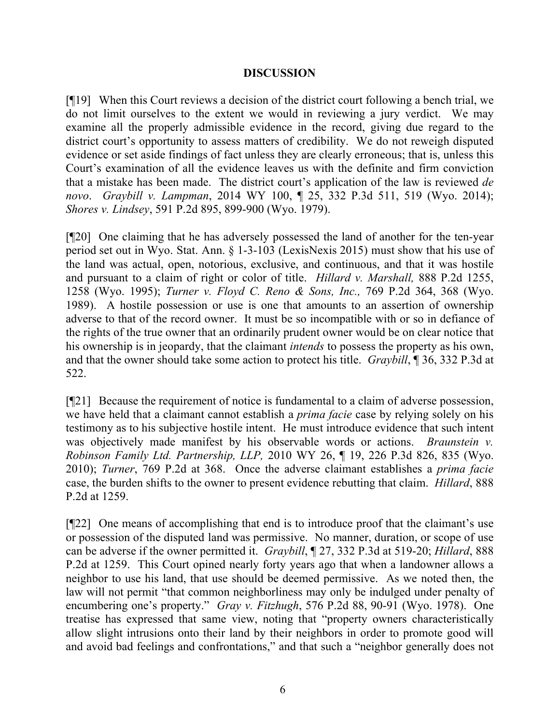## **DISCUSSION**

[¶19] When this Court reviews a decision of the district court following a bench trial, we do not limit ourselves to the extent we would in reviewing a jury verdict. We may examine all the properly admissible evidence in the record, giving due regard to the district court's opportunity to assess matters of credibility. We do not reweigh disputed evidence or set aside findings of fact unless they are clearly erroneous; that is, unless this Court's examination of all the evidence leaves us with the definite and firm conviction that a mistake has been made. The district court's application of the law is reviewed *de novo*. *Graybill v. Lampman*, 2014 WY 100, ¶ 25, 332 P.3d 511, 519 (Wyo. 2014); *Shores v. Lindsey*, 591 P.2d 895, 899-900 (Wyo. 1979).

[¶20] One claiming that he has adversely possessed the land of another for the ten-year period set out in Wyo. Stat. Ann. § 1-3-103 (LexisNexis 2015) must show that his use of the land was actual, open, notorious, exclusive, and continuous, and that it was hostile and pursuant to a claim of right or color of title. *Hillard v. Marshall,* 888 P.2d 1255, 1258 (Wyo. 1995); *Turner v. Floyd C. Reno & Sons, Inc.,* 769 P.2d 364, 368 (Wyo. 1989). A hostile possession or use is one that amounts to an assertion of ownership adverse to that of the record owner. It must be so incompatible with or so in defiance of the rights of the true owner that an ordinarily prudent owner would be on clear notice that his ownership is in jeopardy, that the claimant *intends* to possess the property as his own, and that the owner should take some action to protect his title. *Graybill*, ¶ 36, 332 P.3d at 522.

[¶21] Because the requirement of notice is fundamental to a claim of adverse possession, we have held that a claimant cannot establish a *prima facie* case by relying solely on his testimony as to his subjective hostile intent. He must introduce evidence that such intent was objectively made manifest by his observable words or actions. *Braunstein v. Robinson Family Ltd. Partnership, LLP,* 2010 WY 26, ¶ 19, 226 P.3d 826, 835 (Wyo. 2010); *Turner*, 769 P.2d at 368. Once the adverse claimant establishes a *prima facie* case, the burden shifts to the owner to present evidence rebutting that claim. *Hillard*, 888 P.2d at 1259.

[¶22] One means of accomplishing that end is to introduce proof that the claimant's use or possession of the disputed land was permissive. No manner, duration, or scope of use can be adverse if the owner permitted it. *Graybill*, ¶ 27, 332 P.3d at 519-20; *Hillard*, 888 P.2d at 1259. This Court opined nearly forty years ago that when a landowner allows a neighbor to use his land, that use should be deemed permissive. As we noted then, the law will not permit "that common neighborliness may only be indulged under penalty of encumbering one's property." *Gray v. Fitzhugh*, 576 P.2d 88, 90-91 (Wyo. 1978). One treatise has expressed that same view, noting that "property owners characteristically allow slight intrusions onto their land by their neighbors in order to promote good will and avoid bad feelings and confrontations," and that such a "neighbor generally does not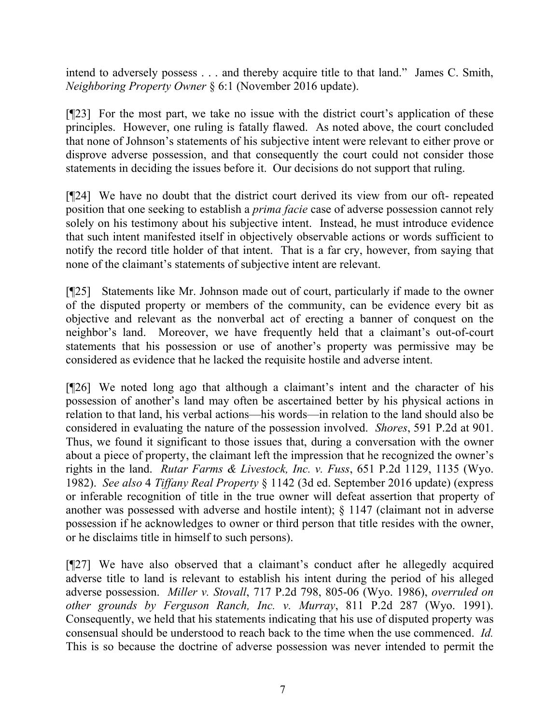intend to adversely possess . . . and thereby acquire title to that land." James C. Smith, *Neighboring Property Owner* § 6:1 (November 2016 update).

[¶23] For the most part, we take no issue with the district court's application of these principles. However, one ruling is fatally flawed. As noted above, the court concluded that none of Johnson's statements of his subjective intent were relevant to either prove or disprove adverse possession, and that consequently the court could not consider those statements in deciding the issues before it. Our decisions do not support that ruling.

[¶24] We have no doubt that the district court derived its view from our oft- repeated position that one seeking to establish a *prima facie* case of adverse possession cannot rely solely on his testimony about his subjective intent. Instead, he must introduce evidence that such intent manifested itself in objectively observable actions or words sufficient to notify the record title holder of that intent. That is a far cry, however, from saying that none of the claimant's statements of subjective intent are relevant.

[¶25] Statements like Mr. Johnson made out of court, particularly if made to the owner of the disputed property or members of the community, can be evidence every bit as objective and relevant as the nonverbal act of erecting a banner of conquest on the neighbor's land. Moreover, we have frequently held that a claimant's out-of-court statements that his possession or use of another's property was permissive may be considered as evidence that he lacked the requisite hostile and adverse intent.

[¶26] We noted long ago that although a claimant's intent and the character of his possession of another's land may often be ascertained better by his physical actions in relation to that land, his verbal actions—his words—in relation to the land should also be considered in evaluating the nature of the possession involved. *Shores*, 591 P.2d at 901. Thus, we found it significant to those issues that, during a conversation with the owner about a piece of property, the claimant left the impression that he recognized the owner's rights in the land. *Rutar Farms & Livestock, Inc. v. Fuss*, 651 P.2d 1129, 1135 (Wyo. 1982). *See also* 4 *Tiffany Real Property* § 1142 (3d ed. September 2016 update) (express or inferable recognition of title in the true owner will defeat assertion that property of another was possessed with adverse and hostile intent); § 1147 (claimant not in adverse possession if he acknowledges to owner or third person that title resides with the owner, or he disclaims title in himself to such persons).

[¶27] We have also observed that a claimant's conduct after he allegedly acquired adverse title to land is relevant to establish his intent during the period of his alleged adverse possession. *Miller v. Stovall*, 717 P.2d 798, 805-06 (Wyo. 1986), *overruled on other grounds by Ferguson Ranch, Inc. v. Murray*, 811 P.2d 287 (Wyo. 1991). Consequently, we held that his statements indicating that his use of disputed property was consensual should be understood to reach back to the time when the use commenced. *Id.*  This is so because the doctrine of adverse possession was never intended to permit the